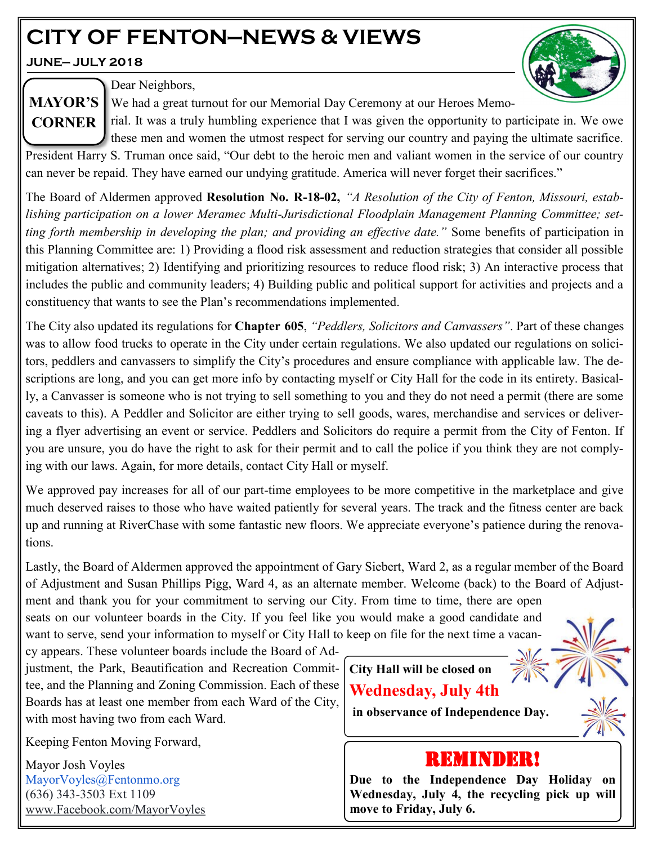# **CITY OF FENTON—NEWS & VIEWS**

**JUNE— JULY 2018**



Dear Neighbors,

MAYOR'S We had a great turnout for our Memorial Day Ceremony at our Heroes Memo-

**CORNER** rial. It was a truly humbling experience that I was given the opportunity to participate in. We owe these men and women the utmost respect for serving our country and paying the ultimate sacrifice. President Harry S. Truman once said, "Our debt to the heroic men and valiant women in the service of our country can never be repaid. They have earned our undying gratitude. America will never forget their sacrifices."

The Board of Aldermen approved **Resolution No. R-18-02,** *"A Resolution of the City of Fenton, Missouri, establishing participation on a lower Meramec Multi-Jurisdictional Floodplain Management Planning Committee; setting forth membership in developing the plan; and providing an effective date."* Some benefits of participation in this Planning Committee are: 1) Providing a flood risk assessment and reduction strategies that consider all possible mitigation alternatives; 2) Identifying and prioritizing resources to reduce flood risk; 3) An interactive process that includes the public and community leaders; 4) Building public and political support for activities and projects and a constituency that wants to see the Plan's recommendations implemented.

The City also updated its regulations for **Chapter 605**, *"Peddlers, Solicitors and Canvassers"*. Part of these changes was to allow food trucks to operate in the City under certain regulations. We also updated our regulations on solicitors, peddlers and canvassers to simplify the City's procedures and ensure compliance with applicable law. The descriptions are long, and you can get more info by contacting myself or City Hall for the code in its entirety. Basically, a Canvasser is someone who is not trying to sell something to you and they do not need a permit (there are some caveats to this). A Peddler and Solicitor are either trying to sell goods, wares, merchandise and services or delivering a flyer advertising an event or service. Peddlers and Solicitors do require a permit from the City of Fenton. If you are unsure, you do have the right to ask for their permit and to call the police if you think they are not complying with our laws. Again, for more details, contact City Hall or myself.

We approved pay increases for all of our part-time employees to be more competitive in the marketplace and give much deserved raises to those who have waited patiently for several years. The track and the fitness center are back up and running at RiverChase with some fantastic new floors. We appreciate everyone's patience during the renovations.

Lastly, the Board of Aldermen approved the appointment of Gary Siebert, Ward 2, as a regular member of the Board of Adjustment and Susan Phillips Pigg, Ward 4, as an alternate member. Welcome (back) to the Board of Adjustment and thank you for your commitment to serving our City. From time to time, there are open seats on our volunteer boards in the City. If you feel like you would make a good candidate and want to serve, send your information to myself or City Hall to keep on file for the next time a vacan-

cy appears. These volunteer boards include the Board of Adjustment, the Park, Beautification and Recreation Committee, and the Planning and Zoning Commission. Each of these Boards has at least one member from each Ward of the City, with most having two from each Ward.

Keeping Fenton Moving Forward,

Mayor Josh Voyles MayorVoyles@Fentonmo.org (636) 343-3503 Ext 1109 www.Facebook.com/MayorVoyles **City Hall will be closed on Wednesday, July 4th in observance of Independence Day.**

## REMINDER!

**Due to the Independence Day Holiday on Wednesday, July 4, the recycling pick up will move to Friday, July 6.**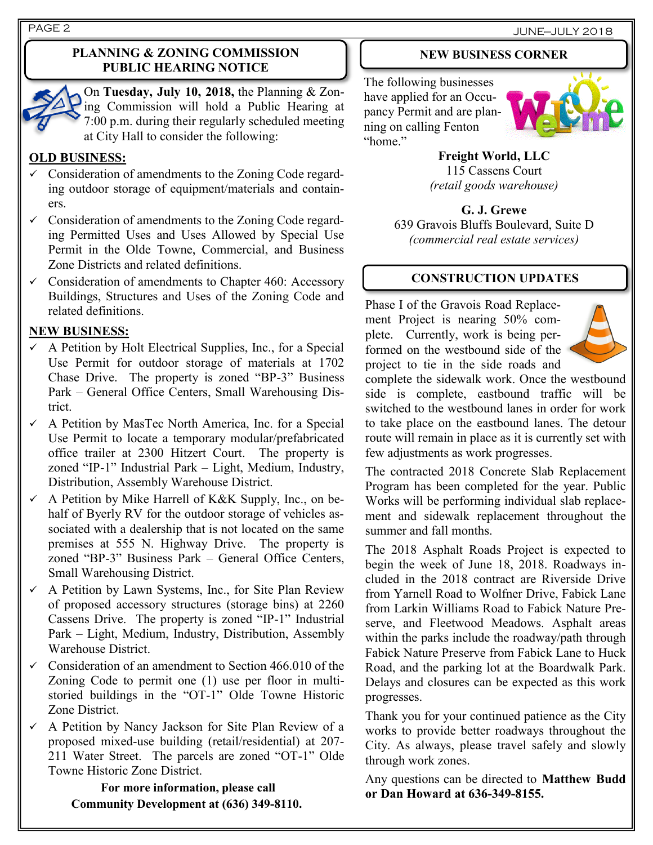PAGE 2 JUNE—JULY 2018

#### **PLANNING & ZONING COMMISSION PUBLIC HEARING NOTICE**



On **Tuesday, July 10, 2018,** the Planning & Zoning Commission will hold a Public Hearing at 7:00 p.m. during their regularly scheduled meeting at City Hall to consider the following:

#### **OLD BUSINESS:**

- $\checkmark$  Consideration of amendments to the Zoning Code regarding outdoor storage of equipment/materials and containers.
- $\checkmark$  Consideration of amendments to the Zoning Code regarding Permitted Uses and Uses Allowed by Special Use Permit in the Olde Towne, Commercial, and Business Zone Districts and related definitions.
- $\checkmark$  Consideration of amendments to Chapter 460: Accessory Buildings, Structures and Uses of the Zoning Code and related definitions.

#### **NEW BUSINESS:**

- $\checkmark$  A Petition by Holt Electrical Supplies, Inc., for a Special Use Permit for outdoor storage of materials at 1702 Chase Drive. The property is zoned "BP-3" Business Park – General Office Centers, Small Warehousing District.
- $\checkmark$  A Petition by MasTec North America, Inc. for a Special Use Permit to locate a temporary modular/prefabricated office trailer at 2300 Hitzert Court. The property is zoned "IP-1" Industrial Park – Light, Medium, Industry, Distribution, Assembly Warehouse District.
- $\checkmark$  A Petition by Mike Harrell of K&K Supply, Inc., on behalf of Byerly RV for the outdoor storage of vehicles associated with a dealership that is not located on the same premises at 555 N. Highway Drive. The property is zoned "BP-3" Business Park – General Office Centers, Small Warehousing District.
- $\checkmark$  A Petition by Lawn Systems, Inc., for Site Plan Review of proposed accessory structures (storage bins) at 2260 Cassens Drive. The property is zoned "IP-1" Industrial Park – Light, Medium, Industry, Distribution, Assembly Warehouse District.
- $\checkmark$  Consideration of an amendment to Section 466.010 of the Zoning Code to permit one (1) use per floor in multistoried buildings in the "OT-1" Olde Towne Historic Zone District.
- $\checkmark$  A Petition by Nancy Jackson for Site Plan Review of a proposed mixed-use building (retail/residential) at 207- 211 Water Street. The parcels are zoned "OT-1" Olde Towne Historic Zone District.

**For more information, please call Community Development at (636) 349-8110.**

#### **NEW BUSINESS CORNER**

The following businesses have applied for an Occupancy Permit and are planning on calling Fenton "home."



**Freight World, LLC** 115 Cassens Court *(retail goods warehouse)*

**G. J. Grewe** 639 Gravois Bluffs Boulevard, Suite D *(commercial real estate services)*

#### **CONSTRUCTION UPDATES**

Phase I of the Gravois Road Replacement Project is nearing 50% complete. Currently, work is being performed on the westbound side of the project to tie in the side roads and



complete the sidewalk work. Once the westbound side is complete, eastbound traffic will be switched to the westbound lanes in order for work to take place on the eastbound lanes. The detour route will remain in place as it is currently set with few adjustments as work progresses.

The contracted 2018 Concrete Slab Replacement Program has been completed for the year. Public Works will be performing individual slab replacement and sidewalk replacement throughout the summer and fall months.

The 2018 Asphalt Roads Project is expected to begin the week of June 18, 2018. Roadways included in the 2018 contract are Riverside Drive from Yarnell Road to Wolfner Drive, Fabick Lane from Larkin Williams Road to Fabick Nature Preserve, and Fleetwood Meadows. Asphalt areas within the parks include the roadway/path through Fabick Nature Preserve from Fabick Lane to Huck Road, and the parking lot at the Boardwalk Park. Delays and closures can be expected as this work progresses.

Thank you for your continued patience as the City works to provide better roadways throughout the City. As always, please travel safely and slowly through work zones.

Any questions can be directed to **Matthew Budd or Dan Howard at 636-349-8155.**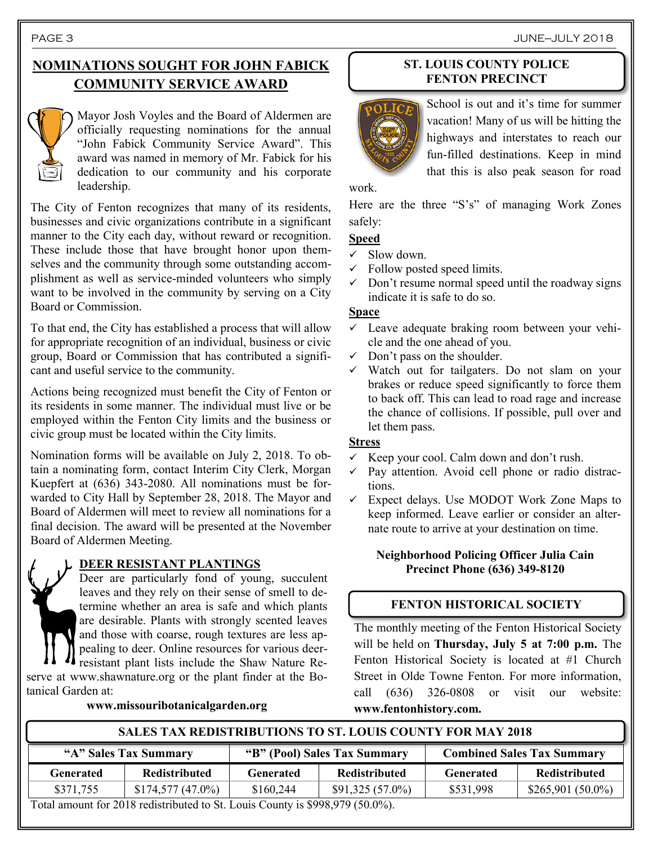### **NOMINATIONS SOUGHT FOR JOHN FABICK COMMUNITY SERVICE AWARD**



Mayor Josh Voyles and the Board of Aldermen are officially requesting nominations for the annual "John Fabick Community Service Award". This award was named in memory of Mr. Fabick for his dedication to our community and his corporate leadership.

The City of Fenton recognizes that many of its residents, businesses and civic organizations contribute in a significant manner to the City each day, without reward or recognition. These include those that have brought honor upon themselves and the community through some outstanding accomplishment as well as service-minded volunteers who simply want to be involved in the community by serving on a City Board or Commission.

To that end, the City has established a process that will allow for appropriate recognition of an individual, business or civic group, Board or Commission that has contributed a significant and useful service to the community.

Actions being recognized must benefit the City of Fenton or its residents in some manner. The individual must live or be employed within the Fenton City limits and the business or civic group must be located within the City limits.

Nomination forms will be available on July 2, 2018. To obtain a nominating form, contact Interim City Clerk, Morgan Kuepfert at (636) 343-2080. All nominations must be forwarded to City Hall by September 28, 2018. The Mayor and Board of Aldermen will meet to review all nominations for a final decision. The award will be presented at the November Board of Aldermen Meeting.

#### **DEER RESISTANT PLANTINGS**

Deer are particularly fond of young, succulent leaves and they rely on their sense of smell to determine whether an area is safe and which plants are desirable. Plants with strongly scented leaves and those with coarse, rough textures are less appealing to deer. Online resources for various deerresistant plant lists include the Shaw Nature Reserve at www.shawnature.org or the plant finder at the Botanical Garden at:

#### **www.missouribotanicalgarden.org**

#### **ST. LOUIS COUNTY POLICE FENTON PRECINCT**



School is out and it's time for summer vacation! Many of us will be hitting the highways and interstates to reach our fun-filled destinations. Keep in mind that this is also peak season for road

#### work.

Here are the three "S's" of managing Work Zones safely:

#### **Speed**

- $\checkmark$  Slow down.
- $\checkmark$  Follow posted speed limits.
- $\checkmark$  Don't resume normal speed until the roadway signs indicate it is safe to do so.

#### **Space**

- ✓ Leave adequate braking room between your vehicle and the one ahead of you.
- $\checkmark$  Don't pass on the shoulder.
- ✓ Watch out for tailgaters. Do not slam on your brakes or reduce speed significantly to force them to back off. This can lead to road rage and increase the chance of collisions. If possible, pull over and let them pass.

#### **Stress**

- $\checkmark$  Keep your cool. Calm down and don't rush.
- ✓ Pay attention. Avoid cell phone or radio distractions.
- $\checkmark$  Expect delays. Use MODOT Work Zone Maps to keep informed. Leave earlier or consider an alternate route to arrive at your destination on time.

#### **Neighborhood Policing Officer Julia Cain Precinct Phone (636) 349-8120**

#### **FENTON HISTORICAL SOCIETY**

The monthly meeting of the Fenton Historical Society will be held on **Thursday, July 5 at 7:00 p.m.** The Fenton Historical Society is located at #1 Church Street in Olde Towne Fenton. For more information, call (636) 326-0808 or visit our website: **www.fentonhistory.com.**

#### **SALES TAX REDISTRIBUTIONS TO ST. LOUIS COUNTY FOR MAY 2018**

| "A" Sales Tax Summary                                                         |                      | "B" (Pool) Sales Tax Summary |                      | <b>Combined Sales Tax Summary</b> |                      |  |
|-------------------------------------------------------------------------------|----------------------|------------------------------|----------------------|-----------------------------------|----------------------|--|
| <b>Generated</b>                                                              | <b>Redistributed</b> | Generated                    | <b>Redistributed</b> | <b>Generated</b>                  | <b>Redistributed</b> |  |
| \$371,755                                                                     | $$174,577(47.0\%)$   | \$160,244                    | $$91,325(57.0\%)$    | \$531,998                         | $$265,901(50.0\%)$   |  |
| Total amount for 2018 redistributed to St. Louis County is \$998,979 (50.0%). |                      |                              |                      |                                   |                      |  |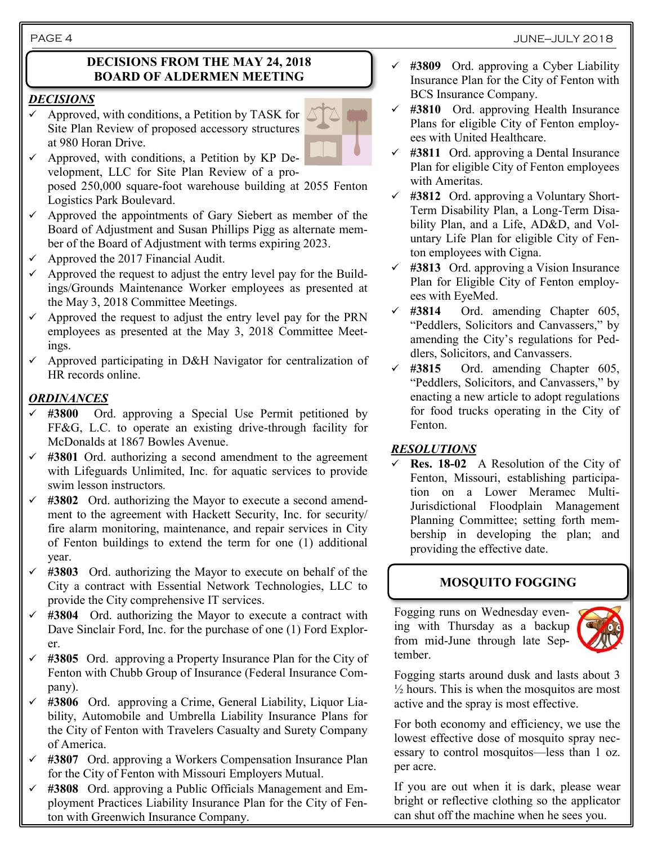#### **DECISIONS FROM THE MAY 24, 2018 BOARD OF ALDERMEN MEETING**

#### *DECISIONS*

 $\checkmark$  Approved, with conditions, a Petition by TASK for Site Plan Review of proposed accessory structures at 980 Horan Drive.



- Approved, with conditions, a Petition by KP Development, LLC for Site Plan Review of a proposed 250,000 square-foot warehouse building at 2055 Fenton Logistics Park Boulevard.
- $\checkmark$  Approved the appointments of Gary Siebert as member of the Board of Adjustment and Susan Phillips Pigg as alternate member of the Board of Adjustment with terms expiring 2023.
- ✓ Approved the 2017 Financial Audit.
- $\checkmark$  Approved the request to adjust the entry level pay for the Buildings/Grounds Maintenance Worker employees as presented at the May 3, 2018 Committee Meetings.
- $\checkmark$  Approved the request to adjust the entry level pay for the PRN employees as presented at the May 3, 2018 Committee Meetings.
- Approved participating in D&H Navigator for centralization of HR records online.

#### *ORDINANCES*

- ✓ **#3800** Ord. approving a Special Use Permit petitioned by FF&G, L.C. to operate an existing drive-through facility for McDonalds at 1867 Bowles Avenue.
- ✓ **#3801** Ord. authorizing a second amendment to the agreement with Lifeguards Unlimited, Inc. for aquatic services to provide swim lesson instructors*.*
- ✓ **#3802** Ord. authorizing the Mayor to execute a second amendment to the agreement with Hackett Security, Inc. for security/ fire alarm monitoring, maintenance, and repair services in City of Fenton buildings to extend the term for one (1) additional year.
- ✓ **#3803** Ord. authorizing the Mayor to execute on behalf of the City a contract with Essential Network Technologies, LLC to provide the City comprehensive IT services.
- ✓ **#3804** Ord. authorizing the Mayor to execute a contract with Dave Sinclair Ford, Inc. for the purchase of one (1) Ford Explorer.
- ✓ **#3805** Ord. approving a Property Insurance Plan for the City of Fenton with Chubb Group of Insurance (Federal Insurance Company).
- ✓ **#3806** Ord. approving a Crime, General Liability, Liquor Liability, Automobile and Umbrella Liability Insurance Plans for the City of Fenton with Travelers Casualty and Surety Company of America.
- ✓ **#3807** Ord. approving a Workers Compensation Insurance Plan for the City of Fenton with Missouri Employers Mutual.
- ✓ **#3808** Ord. approving a Public Officials Management and Employment Practices Liability Insurance Plan for the City of Fenton with Greenwich Insurance Company.
- ✓ **#3809** Ord. approving a Cyber Liability Insurance Plan for the City of Fenton with BCS Insurance Company.
- ✓ **#3810** Ord. approving Health Insurance Plans for eligible City of Fenton employees with United Healthcare.
- ✓ **#3811** Ord. approving a Dental Insurance Plan for eligible City of Fenton employees with Ameritas
- ✓ **#3812** Ord. approving a Voluntary Short-Term Disability Plan, a Long-Term Disability Plan, and a Life, AD&D, and Voluntary Life Plan for eligible City of Fenton employees with Cigna.
- ✓ **#3813** Ord. approving a Vision Insurance Plan for Eligible City of Fenton employees with EyeMed.
- ✓ **#3814** Ord. amending Chapter 605, "Peddlers, Solicitors and Canvassers," by amending the City's regulations for Peddlers, Solicitors, and Canvassers.
- ✓ **#3815** Ord. amending Chapter 605, "Peddlers, Solicitors, and Canvassers," by enacting a new article to adopt regulations for food trucks operating in the City of Fenton.

#### *RESOLUTIONS*

✓ **Res. 18-02** A Resolution of the City of Fenton, Missouri, establishing participation on a Lower Meramec Multi-Jurisdictional Floodplain Management Planning Committee; setting forth membership in developing the plan; and providing the effective date.

#### **MOSQUITO FOGGING**

Fogging runs on Wednesday evening with Thursday as a backup from mid-June through late September.



Fogging starts around dusk and lasts about 3  $\frac{1}{2}$  hours. This is when the mosquitos are most active and the spray is most effective.

For both economy and efficiency, we use the lowest effective dose of mosquito spray necessary to control mosquitos—less than 1 oz. per acre.

If you are out when it is dark, please wear bright or reflective clothing so the applicator can shut off the machine when he sees you.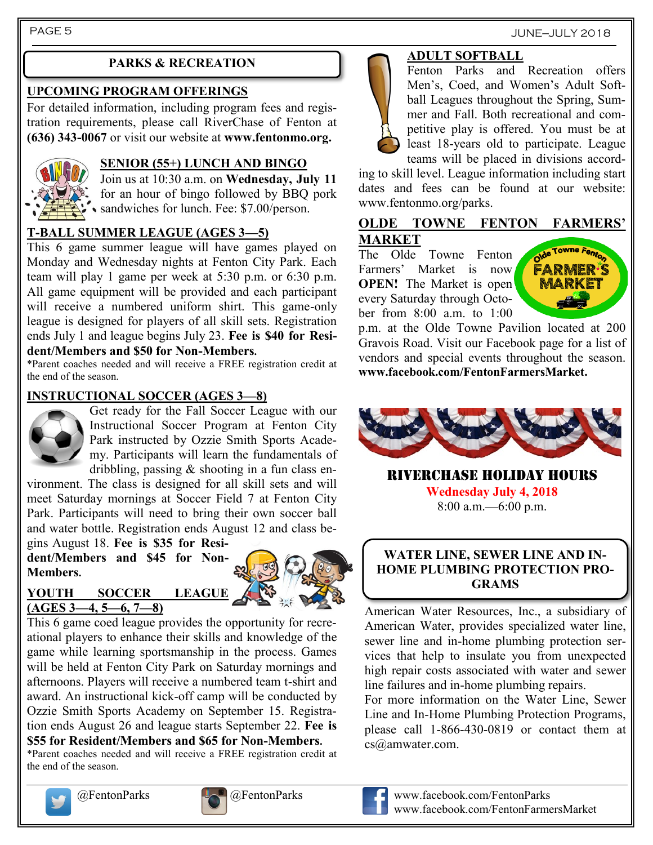#### **PARKS & RECREATION**

#### **UPCOMING PROGRAM OFFERINGS**

For detailed information, including program fees and registration requirements, please call RiverChase of Fenton at **(636) 343-0067** or visit our website at **www.fentonmo.org.**



#### **SENIOR (55+) LUNCH AND BINGO**

Join us at 10:30 a.m. on **Wednesday, July 11**  for an hour of bingo followed by BBQ pork sandwiches for lunch. Fee: \$7.00/person.

#### **T-BALL SUMMER LEAGUE (AGES 3—5)**

This 6 game summer league will have games played on Monday and Wednesday nights at Fenton City Park. Each team will play 1 game per week at 5:30 p.m. or 6:30 p.m. All game equipment will be provided and each participant will receive a numbered uniform shirt. This game-only league is designed for players of all skill sets. Registration ends July 1 and league begins July 23. **Fee is \$40 for Resident/Members and \$50 for Non-Members.** 

\*Parent coaches needed and will receive a FREE registration credit at the end of the season.

#### **INSTRUCTIONAL SOCCER (AGES 3—8)**



Get ready for the Fall Soccer League with our Instructional Soccer Program at Fenton City Park instructed by Ozzie Smith Sports Academy. Participants will learn the fundamentals of dribbling, passing  $\&$  shooting in a fun class en-

vironment. The class is designed for all skill sets and will meet Saturday mornings at Soccer Field 7 at Fenton City Park. Participants will need to bring their own soccer ball and water bottle. Registration ends August 12 and class be-

gins August 18. **Fee is \$35 for Resident/Members and \$45 for Non-Members.** 

#### **YOUTH SOCCER LEAGUE (AGES 3—4, 5—6, 7—8)**

This 6 game coed league provides the opportunity for recreational players to enhance their skills and knowledge of the game while learning sportsmanship in the process. Games will be held at Fenton City Park on Saturday mornings and afternoons. Players will receive a numbered team t-shirt and award. An instructional kick-off camp will be conducted by Ozzie Smith Sports Academy on September 15. Registration ends August 26 and league starts September 22. **Fee is \$55 for Resident/Members and \$65 for Non-Members.** 

\*Parent coaches needed and will receive a FREE registration credit at the end of the season.







#### **ADULT SOFTBALL**

Fenton Parks and Recreation offers Men's, Coed, and Women's Adult Softball Leagues throughout the Spring, Summer and Fall. Both recreational and competitive play is offered. You must be at least 18-years old to participate. League teams will be placed in divisions accord-

ing to skill level. League information including start dates and fees can be found at our website: www.fentonmo.org/parks.

#### **OLDE TOWNE FENTON FARMERS' MARKET**

The Olde Towne Fenton Farmers' Market is now **OPEN!** The Market is open every Saturday through October from 8:00 a.m. to 1:00



p.m. at the Olde Towne Pavilion located at 200 Gravois Road. Visit our Facebook page for a list of vendors and special events throughout the season. **www.facebook.com/FentonFarmersMarket.**



Riverchase holiday hours

**Wednesday July 4, 2018** 8:00 a.m.—6:00 p.m.

#### **WATER LINE, SEWER LINE AND IN-HOME PLUMBING PROTECTION PRO-GRAMS**

American Water Resources, Inc., a subsidiary of American Water, provides specialized water line, sewer line and in-home plumbing protection services that help to insulate you from unexpected high repair costs associated with water and sewer line failures and in-home plumbing repairs.

For more information on the Water Line, Sewer Line and In-Home Plumbing Protection Programs, please call 1-866-430-0819 or contact them at cs@amwater.com.



@FentonParks @FentonParks www.facebook.com/FentonParks www.facebook.com/FentonFarmersMarket